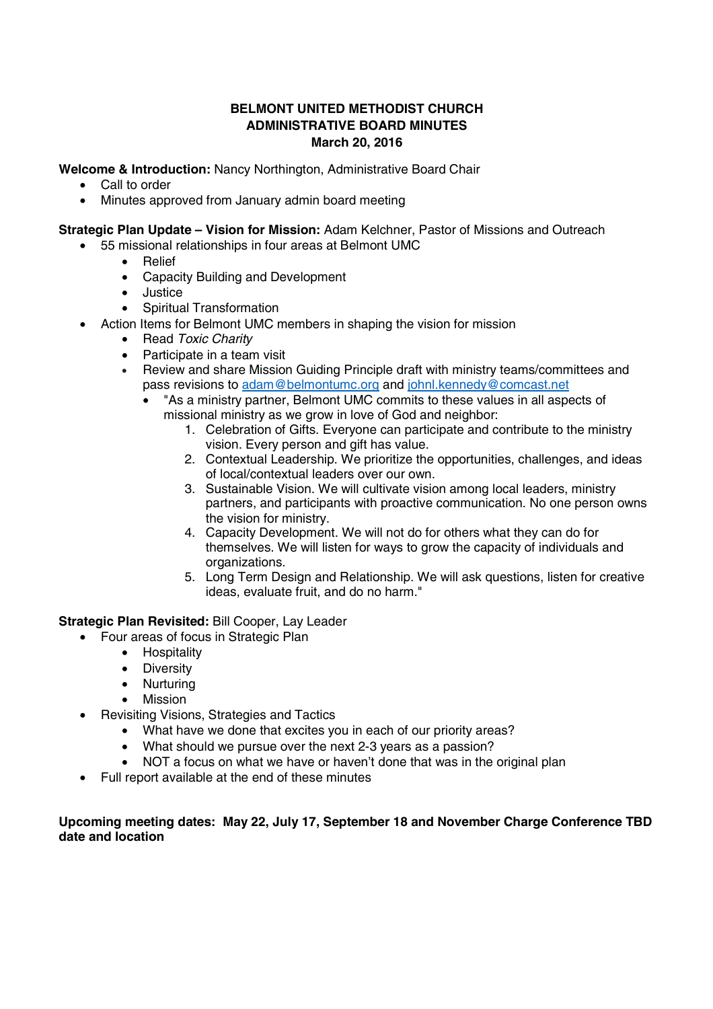### **BELMONT UNITED METHODIST CHURCH ADMINISTRATIVE BOARD MINUTES March 20, 2016**

**Welcome & Introduction:** Nancy Northington, Administrative Board Chair

- Call to order
- Minutes approved from January admin board meeting

**Strategic Plan Update – Vision for Mission:** Adam Kelchner, Pastor of Missions and Outreach

- y 55 missional relationships in four areas at Belmont UMC
	- Relief
	- Capacity Building and Development
	- y Justice
	- **Spiritual Transformation**
- Action Items for Belmont UMC members in shaping the vision for mission
	- **Read** *Toxic Charity*
	- Participate in a team visit
	- Review and share Mission Guiding Principle draft with ministry teams/committees and pass revisions to adam@belmontumc.org and johnl.kennedy@comcast.net
		- "As a ministry partner, Belmont UMC commits to these values in all aspects of missional ministry as we grow in love of God and neighbor:
			- 1. Celebration of Gifts. Everyone can participate and contribute to the ministry vision. Every person and gift has value.
			- 2. Contextual Leadership. We prioritize the opportunities, challenges, and ideas of local/contextual leaders over our own.
			- 3. Sustainable Vision. We will cultivate vision among local leaders, ministry partners, and participants with proactive communication. No one person owns the vision for ministry.
			- 4. Capacity Development. We will not do for others what they can do for themselves. We will listen for ways to grow the capacity of individuals and organizations.
			- 5. Long Term Design and Relationship. We will ask questions, listen for creative ideas, evaluate fruit, and do no harm."

**Strategic Plan Revisited:** Bill Cooper, Lay Leader

- Four areas of focus in Strategic Plan
	- Hospitality
	- Diversity
	- Nurturing
	- Mission
- Revisiting Visions, Strategies and Tactics
	- What have we done that excites you in each of our priority areas?
	- What should we pursue over the next 2-3 years as a passion?
	- NOT a focus on what we have or haven't done that was in the original plan
- Full report available at the end of these minutes

**Upcoming meeting dates: May 22, July 17, September 18 and November Charge Conference TBD date and location**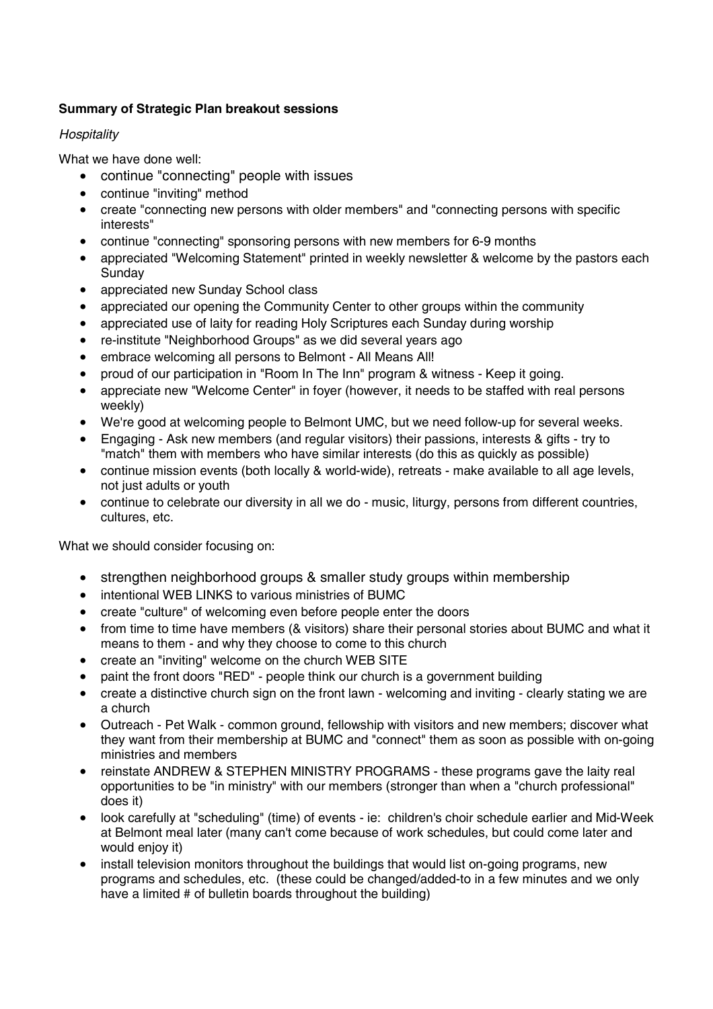# **Summary of Strategic Plan breakout sessions**

### *Hospitality*

What we have done well:

- continue "connecting" people with issues
- continue "inviting" method
- create "connecting new persons with older members" and "connecting persons with specific interests"
- continue "connecting" sponsoring persons with new members for 6-9 months
- appreciated "Welcoming Statement" printed in weekly newsletter & welcome by the pastors each Sunday
- appreciated new Sunday School class
- appreciated our opening the Community Center to other groups within the community
- appreciated use of laity for reading Holy Scriptures each Sunday during worship
- re-institute "Neighborhood Groups" as we did several years ago
- embrace welcoming all persons to Belmont All Means All!
- y proud of our participation in "Room In The Inn" program & witness Keep it going.
- appreciate new "Welcome Center" in foyer (however, it needs to be staffed with real persons weekly)
- We're good at welcoming people to Belmont UMC, but we need follow-up for several weeks.
- Engaging Ask new members (and regular visitors) their passions, interests & gifts try to "match" them with members who have similar interests (do this as quickly as possible)
- continue mission events (both locally & world-wide), retreats make available to all age levels, not just adults or youth
- continue to celebrate our diversity in all we do music, liturgy, persons from different countries, cultures, etc.

What we should consider focusing on:

- strengthen neighborhood groups & smaller study groups within membership
- intentional WEB LINKS to various ministries of BUMC
- y create "culture" of welcoming even before people enter the doors
- from time to time have members (& visitors) share their personal stories about BUMC and what it means to them - and why they choose to come to this church
- create an "inviting" welcome on the church WEB SITE
- y paint the front doors "RED" people think our church is a government building
- create a distinctive church sign on the front lawn welcoming and inviting clearly stating we are a church
- Outreach Pet Walk common ground, fellowship with visitors and new members; discover what they want from their membership at BUMC and "connect" them as soon as possible with on-going ministries and members
- y reinstate ANDREW & STEPHEN MINISTRY PROGRAMS these programs gave the laity real opportunities to be "in ministry" with our members (stronger than when a "church professional" does it)
- look carefully at "scheduling" (time) of events ie: children's choir schedule earlier and Mid-Week at Belmont meal later (many can't come because of work schedules, but could come later and would enjoy it)
- install television monitors throughout the buildings that would list on-going programs, new programs and schedules, etc. (these could be changed/added-to in a few minutes and we only have a limited # of bulletin boards throughout the building)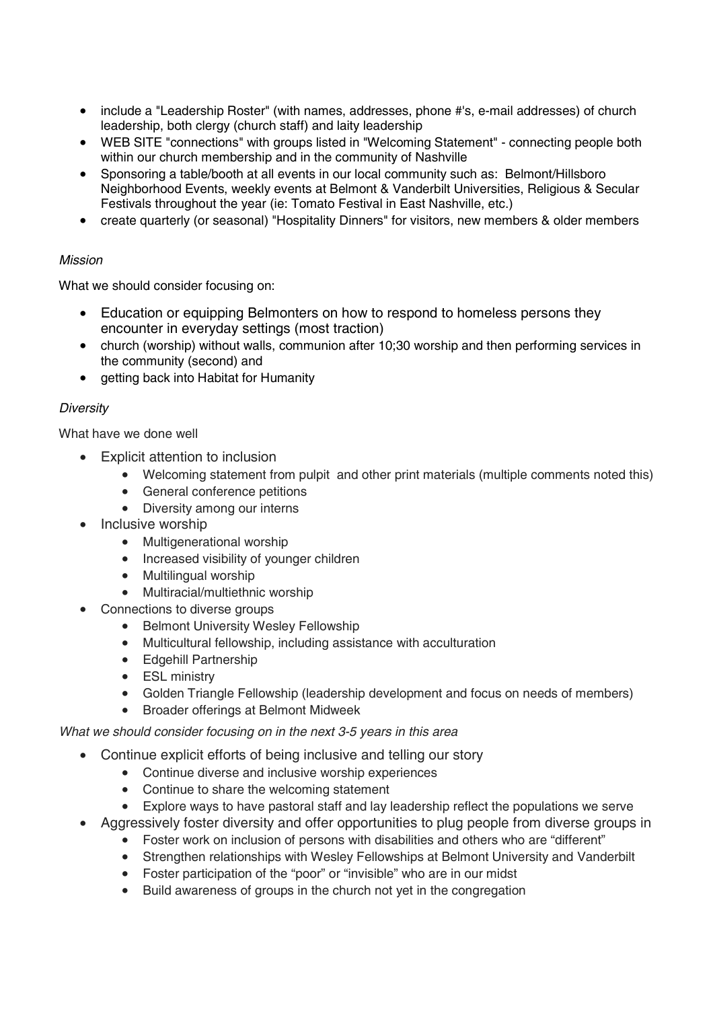- include a "Leadership Roster" (with names, addresses, phone #'s, e-mail addresses) of church leadership, both clergy (church staff) and laity leadership
- WEB SITE "connections" with groups listed in "Welcoming Statement" connecting people both within our church membership and in the community of Nashville
- y Sponsoring a table/booth at all events in our local community such as: Belmont/Hillsboro Neighborhood Events, weekly events at Belmont & Vanderbilt Universities, Religious & Secular Festivals throughout the year (ie: Tomato Festival in East Nashville, etc.)
- create quarterly (or seasonal) "Hospitality Dinners" for visitors, new members & older members

## *Mission*

What we should consider focusing on:

- Education or equipping Belmonters on how to respond to homeless persons they encounter in everyday settings (most traction)
- church (worship) without walls, communion after 10;30 worship and then performing services in the community (second) and
- getting back into Habitat for Humanity

## *Diversity*

What have we done well

- $\bullet$  Explicit attention to inclusion
	- Welcoming statement from pulpit and other print materials (multiple comments noted this)
	- General conference petitions
	- Diversity among our interns
- Inclusive worship
	- Multigenerational worship
	- Increased visibility of younger children
	- Multilingual worship
	- Multiracial/multiethnic worship
- Connections to diverse groups
	- Belmont University Wesley Fellowship
	- Multicultural fellowship, including assistance with acculturation
	- Edgehill Partnership
	- ESL ministry
	- Golden Triangle Fellowship (leadership development and focus on needs of members)
	- Broader offerings at Belmont Midweek

### *What we should consider focusing on in the next 3-5 years in this area*

- Continue explicit efforts of being inclusive and telling our story
	- Continue diverse and inclusive worship experiences
	- Continue to share the welcoming statement
	- Explore ways to have pastoral staff and lay leadership reflect the populations we serve
- Aggressively foster diversity and offer opportunities to plug people from diverse groups in
	- Foster work on inclusion of persons with disabilities and others who are "different"
	- Strengthen relationships with Wesley Fellowships at Belmont University and Vanderbilt
	- Foster participation of the "poor" or "invisible" who are in our midst
	- Build awareness of groups in the church not yet in the congregation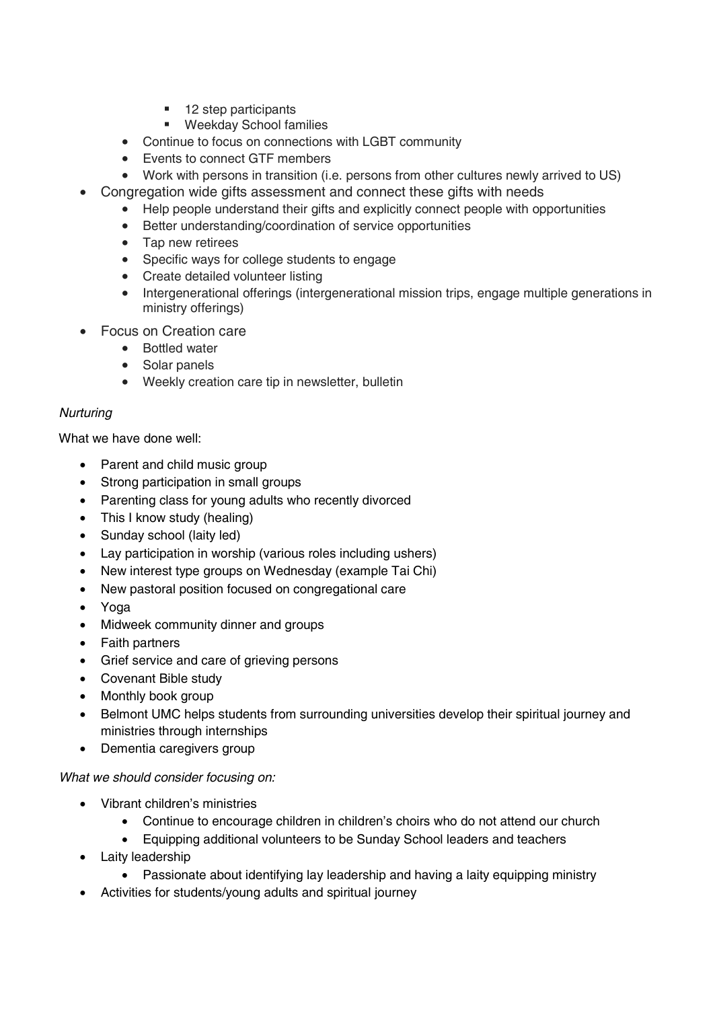- 12 step participants
- **Weekday School families**
- Continue to focus on connections with LGBT community
- Events to connect GTF members
- Work with persons in transition (i.e. persons from other cultures newly arrived to US)
- Congregation wide gifts assessment and connect these gifts with needs
	- Help people understand their gifts and explicitly connect people with opportunities
	- Better understanding/coordination of service opportunities
	- Tap new retirees
	- Specific ways for college students to engage
	- Create detailed volunteer listing
	- Intergenerational offerings (intergenerational mission trips, engage multiple generations in ministry offerings)
- Focus on Creation care
	- Bottled water
	- Solar panels
	- Weekly creation care tip in newsletter, bulletin

### *Nurturing*

What we have done well:

- Parent and child music group
- Strong participation in small groups
- Parenting class for young adults who recently divorced
- $\bullet$  This I know study (healing)
- Sunday school (laity led)
- Lay participation in worship (various roles including ushers)
- New interest type groups on Wednesday (example Tai Chi)
- New pastoral position focused on congregational care
- Yoga
- Midweek community dinner and groups
- Faith partners
- Grief service and care of grieving persons
- Covenant Bible study
- Monthly book group
- Belmont UMC helps students from surrounding universities develop their spiritual journey and ministries through internships
- Dementia caregivers group

### *What we should consider focusing on:*

- Vibrant children's ministries
	- Continue to encourage children in children's choirs who do not attend our church
	- Equipping additional volunteers to be Sunday School leaders and teachers
- Laity leadership
	- Passionate about identifying lay leadership and having a laity equipping ministry
- Activities for students/young adults and spiritual journey